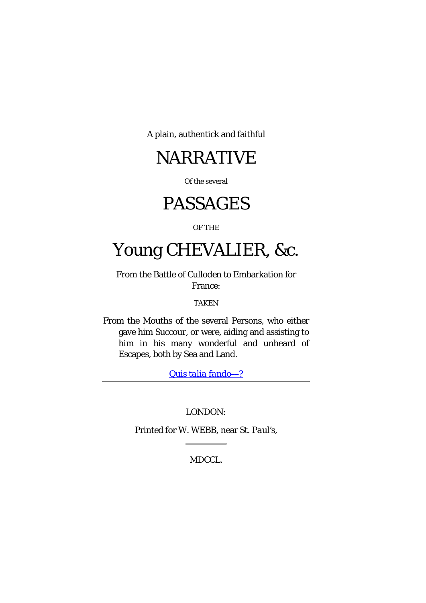A plain, authentick and faithful

## NARRATIVE

Of the several

# PASSAGES

#### OF THE

# Young CHEVALIER, &c.

From the Battle of *Culloden* to Embarkation for France:

#### TAKEN

From the Mouths of the several Persons, who either gave him Succour, or were, aiding and assisting to him in his many wonderful and unheard of Escapes, both by Sea and Land.

*[Quis talia fando](http://translate.google.com/?hl=en&tab=nT#la|en|Quis%20talia%20fando)*––?

#### *LOND*O*N:*

Printed for W. WEBB, near St. *Paul's*,

MDCCL.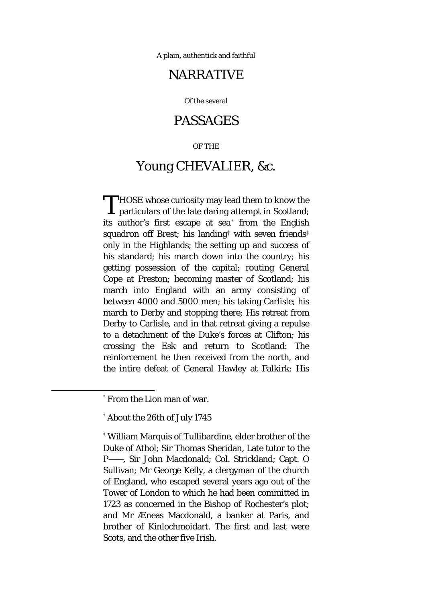A plain, authentick and faithful

## NARRATIVE

Of the several

### PASSAGES

#### OF THE

## Young CHEVALIER, &c.

**THOSE** whose curiosity may lead them to know the THOSE whose curiosity may lead them to know the particulars of the late daring attempt in Scotland; its author's first escape at sea[\\*](#page-1-0) from the English squadron off Brest; his landing[†](#page-1-1) with seven friends[‡](#page-1-2) only in the Highlands; the setting up and success of his standard; his march down into the country; his getting possession of the capital; routing General Cope at Preston; becoming master of Scotland; his march into England with an army consisting of between 4000 and 5000 men; his taking Carlisle; his march to Derby and stopping there; His retreat from Derby to Carlisle, and in that retreat giving a repulse to a detachment of the Duke's forces at Clifton; his crossing the Esk and return to Scotland: The reinforcement he then received from the north, and the intire defeat of General Hawley at Falkirk: His

<span id="page-1-0"></span> <sup>\*</sup> From the Lion man of war.

<span id="page-1-1"></span><sup>†</sup> About the 26th of July 1745

<span id="page-1-2"></span><sup>‡</sup> William Marquis of Tullibardine, elder brother of the Duke of Athol; Sir Thomas Sheridan, Late tutor to the P——, Sir John Macdonald; Col. Strickland; Capt. O Sullivan; Mr George Kelly, a clergyman of the church of England, who escaped several years ago out of the Tower of London to which he had been committed in 1723 as concerned in the Bishop of Rochester's plot; and Mr Æneas Macdonald, a banker at Paris, and brother of Kinlochmoidart. The first and last were Scots, and the other five Irish.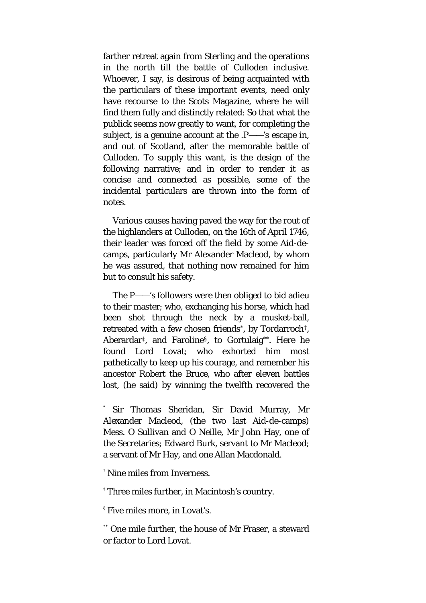farther retreat again from Sterling and the operations in the north till the battle of Culloden inclusive. Whoever, I say, is desirous of being acquainted with the particulars of these important events, need only have recourse to the Scots Magazine, where he will find them fully and distinctly related: So that what the publick seems now greatly to want, for completing the subject, is a genuine account at the .P——'s escape in, and out of Scotland, after the memorable battle of Culloden. To supply this want, is the design of the following narrative; and in order to render it as concise and connected as possible, some of the incidental particulars are thrown into the form of notes.

Various causes having paved the way for the rout of the highlanders at Culloden, on the 16th of April 1746, their leader was forced off the field by some Aid-decamps, particularly Mr Alexander Macleod, by whom he was assured, that nothing now remained for him but to consult his safety.

The P——'s followers were then obliged to bid adieu to their master; who, exchanging his horse, which had been shot through the neck by a musket-ball, retreated with a few chosen friends[\\*,](#page-2-0) by Tordarroch[†,](#page-2-1) Aberardar[‡,](#page-2-2) and Faroline[§](#page-2-3), to Gortulaig[\\*\\*.](#page-2-4) Here he found Lord Lovat; who exhorted him most pathetically to keep up his courage, and remember his ancestor Robert the Bruce, who after eleven battles lost, (he said) by winning the twelfth recovered the

<span id="page-2-0"></span> <sup>\*</sup> Sir Thomas Sheridan, Sir David Murray, Mr Alexander Macleod, (the two last Aid-de-camps) Mess. O Sullivan and O Neille, Mr John Hay, one of the Secretaries; Edward Burk, servant to Mr Macleod; a servant of Mr Hay, and one Allan Macdonald.

<span id="page-2-1"></span><sup>†</sup> Nine miles from Inverness.

<span id="page-2-2"></span><sup>‡</sup> Three miles further, in Macintosh's country.

<span id="page-2-3"></span><sup>§</sup> Five miles more, in Lovat's.

<span id="page-2-4"></span><sup>\*\*</sup> One mile further, the house of Mr Fraser, a steward or factor to Lord Lovat.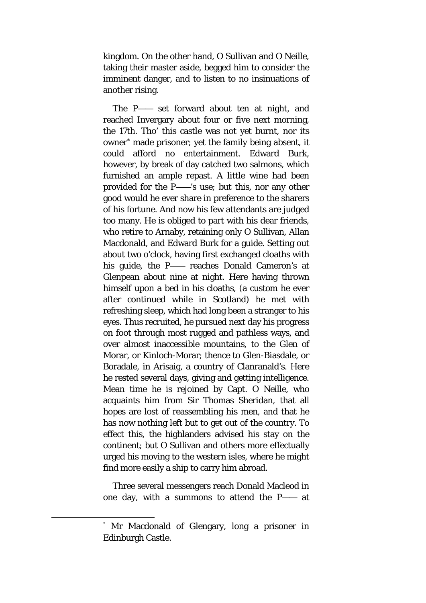kingdom. On the other hand, O Sullivan and O Neille, taking their master aside, begged him to consider the imminent danger, and to listen to no insinuations of another rising.

The P—— set forward about ten at night, and reached Invergary about four or five next morning, the 17th. Tho' this castle was not yet burnt, nor its owner[\\*](#page-3-0) made prisoner; yet the family being absent, it could afford no entertainment. Edward Burk, however, by break of day catched two salmons, which furnished an ample repast. A little wine had been provided for the P——'s use; but this, nor any other good would he ever share in preference to the sharers of his fortune. And now his few attendants are judged too many. He is obliged to part with his dear friends, who retire to Arnaby, retaining only O Sullivan, Allan Macdonald, and Edward Burk for a guide. Setting out about two o'clock, having first exchanged cloaths with his guide, the P—— reaches Donald Cameron's at Glenpean about nine at night. Here having thrown himself upon a bed in his cloaths, (a custom he ever after continued while in Scotland) he met with refreshing sleep, which had long been a stranger to his eyes. Thus recruited, he pursued next day his progress on foot through most rugged and pathless ways, and over almost inaccessible mountains, to the Glen of Morar, or Kinloch-Morar; thence to Glen-Biasdale, or Boradale, in Arisaig, a country of Clanranald's. Here he rested several days, giving and getting intelligence. Mean time he is rejoined by Capt. O Neille, who acquaints him from Sir Thomas Sheridan, that all hopes are lost of reassembling his men, and that he has now nothing left but to get out of the country. To effect this, the highlanders advised his stay on the continent; but O Sullivan and others more effectually urged his moving to the western isles, where he might find more easily a ship to carry him abroad.

Three several messengers reach Donald Macleod in one day, with a summons to attend the P—— at

<span id="page-3-0"></span> <sup>\*</sup> Mr Macdonald of Glengary, long a prisoner in Edinburgh Castle.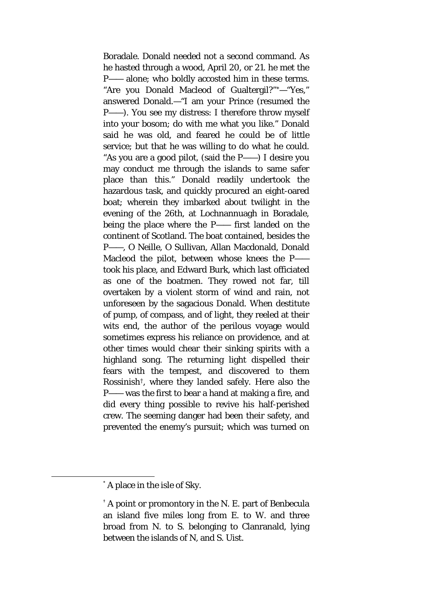Boradale. Donald needed not a second command. As he hasted through a wood, April 20, or 21. he met the P—— alone; who boldly accosted him in these terms. "Are you Donald Macleod of Gualtergil?"[\\*](#page-4-0)—"Yes," answered Donald.—"I am your Prince (resumed the P——). You see my distress: I therefore throw myself into your bosom; do with me what you like." Donald said he was old, and feared he could be of little service; but that he was willing to do what he could. "As you are a good pilot, (said the P——) I desire you may conduct me through the islands to same safer place than this." Donald readily undertook the hazardous task, and quickly procured an eight-oared boat; wherein they imbarked about twilight in the evening of the 26th, at Lochnannuagh in Boradale, being the place where the P—— first landed on the continent of Scotland. The boat contained, besides the P——, O Neille, O Sullivan, Allan Macdonald, Donald Macleod the pilot, between whose knees the P— took his place, and Edward Burk, which last officiated as one of the boatmen. They rowed not far, till overtaken by a violent storm of wind and rain, not unforeseen by the sagacious Donald. When destitute of pump, of compass, and of light, they reeled at their wits end, the author of the perilous voyage would sometimes express his reliance on providence, and at other times would chear their sinking spirits with a highland song. The returning light dispelled their fears with the tempest, and discovered to them Rossinish[†,](#page-4-1) where they landed safely. Here also the P—— was the first to bear a hand at making a fire, and did every thing possible to revive his half-perished crew. The seeming danger had been their safety, and prevented the enemy's pursuit; which was turned on

<span id="page-4-0"></span> <sup>\*</sup> A place in the isle of Sky.

<span id="page-4-1"></span><sup>†</sup> A point or promontory in the N. E. part of Benbecula an island five miles long from E. to W. and three broad from N. to S. belonging to Clanranald, lying between the islands of N, and S. Uist.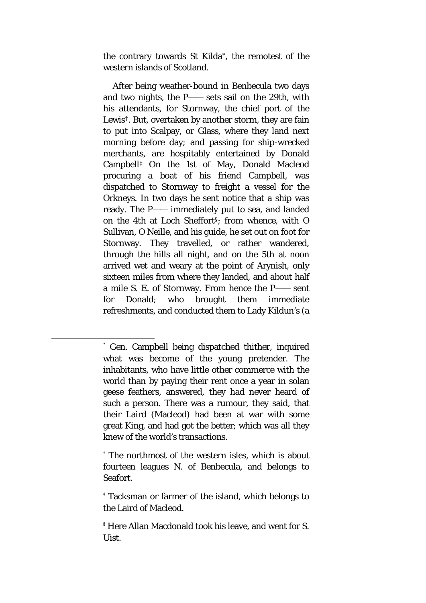the contrary towards St Kilda[\\*,](#page-5-0) the remotest of the western islands of Scotland.

After being weather-bound in Benbecula two days and two nights, the P—— sets sail on the 29th, with his attendants, for Stornway, the chief port of the Lewis[†.](#page-5-1) But, overtaken by another storm, they are fain to put into Scalpay, or Glass, where they land next morning before day; and passing for ship-wrecked merchants, are hospitably entertained by Donald Campbell[‡](#page-5-2) On the 1st of May, Donald Macleod procuring a boat of his friend Campbell, was dispatched to Stornway to freight a vessel for the Orkneys. In two days he sent notice that a ship was ready. The P—— immediately put to sea, and landed on the 4th at Loch Sheffort[§](#page-5-3); from whence, with O Sullivan, O Neille, and his guide, he set out on foot for Stornway. They travelled, or rather wandered, through the hills all night, and on the 5th at noon arrived wet and weary at the point of Arynish, only sixteen miles from where they landed, and about half a mile S. E. of Stornway. From hence the P—— sent for Donald; who brought them immediate refreshments, and conducted them to Lady Kildun's (a

<span id="page-5-0"></span> <sup>\*</sup> Gen. Campbell being dispatched thither, inquired what was become of the young pretender. The inhabitants, who have little other commerce with the world than by paying their rent once a year in solan geese feathers, answered, they had never heard of such a person. There was a rumour, they said, that their Laird (Macleod) had been at war with some great King, and had got the better; which was all they knew of the world's transactions.

<span id="page-5-1"></span><sup>†</sup> The northmost of the western isles, which is about fourteen leagues N. of Benbecula, and belongs to Seafort.

<span id="page-5-2"></span><sup>‡</sup> Tacksman or farmer of the island, which belongs to the Laird of Macleod.

<span id="page-5-3"></span><sup>§</sup> Here Allan Macdonald took his leave, and went for S. **Uist.**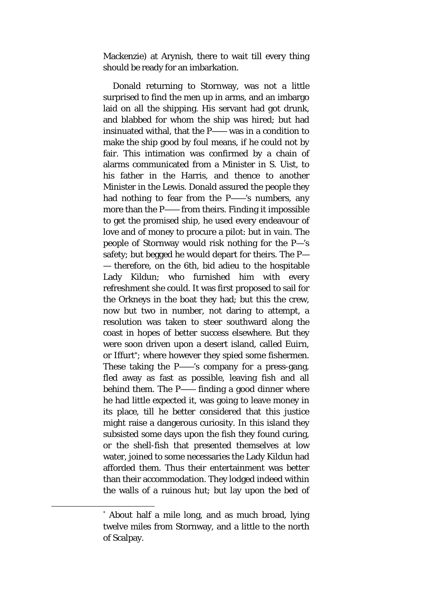Mackenzie) at Arynish, there to wait till every thing should be ready for an imbarkation.

Donald returning to Stornway, was not a little surprised to find the men up in arms, and an imbargo laid on all the shipping. His servant had got drunk, and blabbed for whom the ship was hired; but had insinuated withal, that the P—— was in a condition to make the ship good by foul means, if he could not by fair. This intimation was confirmed by a chain of alarms communicated from a Minister in S. Uist, to his father in the Harris, and thence to another Minister in the Lewis. Donald assured the people they had nothing to fear from the P——'s numbers, any more than the P—— from theirs. Finding it impossible to get the promised ship, he used every endeavour of love and of money to procure a pilot: but in vain. The people of Stornway would risk nothing for the P—'s safety; but begged he would depart for theirs. The P— — therefore, on the 6th, bid adieu to the hospitable Lady Kildun; who furnished him with every refreshment she could. It was first proposed to sail for the Orkneys in the boat they had; but this the crew, now but two in number, not daring to attempt, a resolution was taken to steer southward along the coast in hopes of better success elsewhere. But they were soon driven upon a desert island, called Euirn, or Iffurt[\\*](#page-6-0); where however they spied some fishermen. These taking the P——'s company for a press-gang, fled away as fast as possible, leaving fish and all behind them. The P—— finding a good dinner where he had little expected it, was going to leave money in its place, till he better considered that this justice might raise a dangerous curiosity. In this island they subsisted some days upon the fish they found curing, or the shell-fish that presented themselves at low water, joined to some necessaries the Lady Kildun had afforded them. Thus their entertainment was better than their accommodation. They lodged indeed within the walls of a ruinous hut; but lay upon the bed of

<span id="page-6-0"></span> <sup>\*</sup> About half a mile long, and as much broad, lying twelve miles from Stornway, and a little to the north of Scalpay.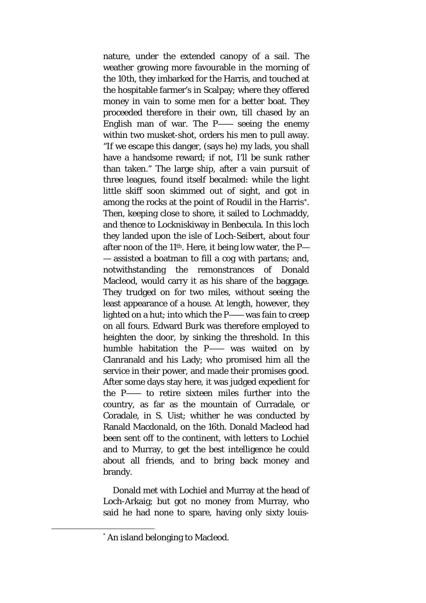nature, under the extended canopy of a sail. The weather growing more favourable in the morning of the 10th, they imbarked for the Harris, and touched at the hospitable farmer's in Scalpay; where they offered money in vain to some men for a better boat. They proceeded therefore in their own, till chased by an English man of war. The P—— seeing the enemy within two musket-shot, orders his men to pull away. "If we escape this danger, (says he) my lads, you shall have a handsome reward; if not, I'll be sunk rather than taken." The large ship, after a vain pursuit of three leagues, found itself becalmed: while the light little skiff soon skimmed out of sight, and got in among the rocks at the point of Roudil in the Harris[\\*.](#page-7-0) Then, keeping close to shore, it sailed to Lochmaddy, and thence to Lockniskiway in Benbecula. In this loch they landed upon the isle of Loch-Seibert, about four after noon of the 11th. Here, it being low water, the P— — assisted a boatman to fill a cog with partans; and, notwithstanding the remonstrances of Donald Macleod, would carry it as his share of the baggage. They trudged on for two miles, without seeing the least appearance of a house. At length, however, they lighted on a hut; into which the P—— was fain to creep on all fours. Edward Burk was therefore employed to heighten the door, by sinking the threshold. In this humble habitation the P—— was waited on by Clanranald and his Lady; who promised him all the service in their power, and made their promises good. After some days stay here, it was judged expedient for the P—— to retire sixteen miles further into the country, as far as the mountain of Curradale, or Coradale, in S. Uist; whither he was conducted by Ranald Macdonald, on the 16th. Donald Macleod had been sent off to the continent, with letters to Lochiel and to Murray, to get the best intelligence he could about all friends, and to bring back money and brandy.

Donald met with Lochiel and Murray at the head of Loch-Arkaig; but got no money from Murray, who said he had none to spare, having only sixty louis-

<span id="page-7-0"></span> <sup>\*</sup> An island belonging to Macleod.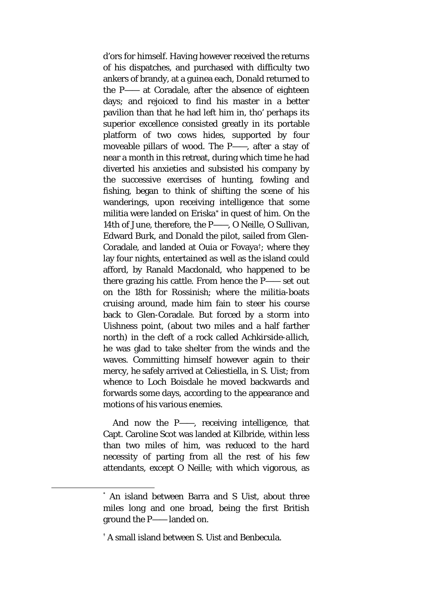d'ors for himself. Having however received the returns of his dispatches, and purchased with difficulty two ankers of brandy, at a guinea each, Donald returned to the P—— at Coradale, after the absence of eighteen days; and rejoiced to find his master in a better pavilion than that he had left him in, tho' perhaps its superior excellence consisted greatly in its portable platform of two cows hides, supported by four moveable pillars of wood. The P——, after a stay of near a month in this retreat, during which time he had diverted his anxieties and subsisted his company by the successive exercises of hunting, fowling and fishing, began to think of shifting the scene of his wanderings, upon receiving intelligence that some militia were landed on Eriska[\\*](#page-8-0) in quest of him. On the 14th of June, therefore, the P——, O Neille, O Sullivan, Edward Burk, and Donald the pilot, sailed from Glen-Coradale, and landed at Ouia or Fovaya[†;](#page-8-1) where they lay four nights, entertained as well as the island could afford, by Ranald Macdonald, who happened to be there grazing his cattle. From hence the P—— set out on the 18th for Rossinish; where the militia-boats cruising around, made him fain to steer his course back to Glen-Coradale. But forced by a storm into Uishness point, (about two miles and a half farther north) in the cleft of a rock called *Achkirside-allich,*  he was glad to take shelter from the winds and the waves. Committing himself however again to their mercy, he safely arrived at Celiestiella, in S. Uist; from whence to Loch Boisdale he moved backwards and forwards some days, according to the appearance and motions of his various enemies.

And now the P——, receiving intelligence, that Capt. Caroline Scot was landed at Kilbride, within less than two miles of him, was reduced to the hard necessity of parting from all the rest of his few attendants, except O Neille; with which vigorous, as

<span id="page-8-0"></span> <sup>\*</sup> An island between Barra and S Uist, about three miles long and one broad, being the first British ground the P—— landed on.

<span id="page-8-1"></span><sup>†</sup> A small island between S. Uist and Benbecula.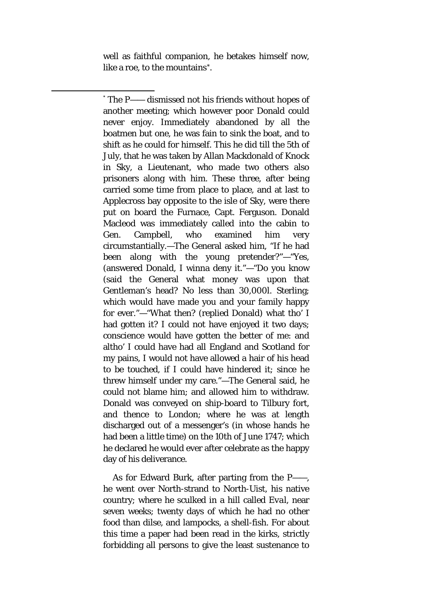well as faithful companion, he betakes himself now, like a roe, to the mountains[\\*](#page-9-0).

<span id="page-9-0"></span> \* The P—— dismissed not his friends without hopes of another meeting; which however poor Donald could never enjoy. Immediately abandoned by all the boatmen but one, he was fain to sink the boat, and to shift as he could for himself*.* This he did till the 5th of July, that he was taken by Allan Mackdonald of Knock in Sky, a Lieutenant, who made two others also prisoners along with him. These three, after being carried some time from place to place, and at last to Applecross bay opposite to the isle of Sky, were there put on board the Furnace, Capt. Ferguson. Donald Macleod was immediately called into the cabin to Gen. Campbell, who examined him very circumstantially.—The General asked him, "If he had been along with the young pretender?"—"Yes, (answered Donald, I winna deny it."—"Do you know (said the General what money was upon that Gentleman's head? No less than 30,000*l*. Sterling; which would have made you and your family happy for ever."—"What then? (replied Donald) what tho' I had gotten it? I could not have enjoyed it two days; conscience would have gotten the better of me: and altho' I could have had all England and Scotland for my pains, I would not have allowed a hair of his head to be touched, if I could have hindered it; since he threw himself under my care."—The General said, he could not blame him; and allowed him to withdraw. Donald was conveyed on ship-board to Tilbury fort, and thence to London; where he was at length discharged out of a messenger's (in whose hands he had been a little time) on the 10th of June 1747; which he declared he would ever after celebrate as the happy day of his deliverance.

As for Edward Burk, after parting from the P——, he went over North-strand to North-Uist, his native country; where he sculked in a hill called *Eval,* near seven weeks; twenty days of which he had no other food than dilse, and lampocks, a shell-fish. For about this time a paper had been read in the kirks, strictly forbidding all persons to give the least sustenance to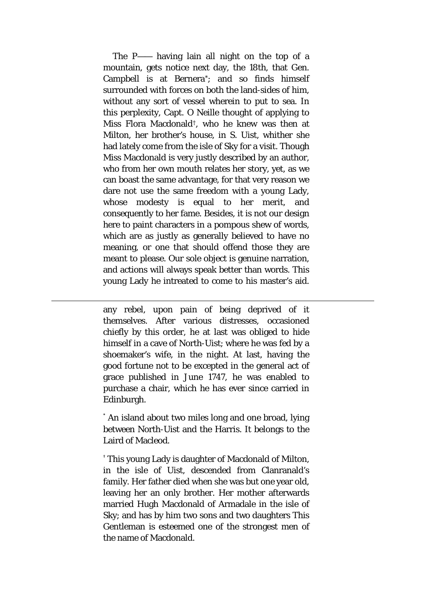The P—— having lain all night on the top of a mountain, gets notice next day, the 18th, that Gen. Campbell is at Bernera[\\*](#page-10-0); and so finds himself surrounded with forces on both the land-sides of him, without any sort of vessel wherein to put to sea. In this perplexity, Capt. O Neille thought of applying to Miss Flora Macdonald[†](#page-10-1), who he knew was then at Milton, her brother's house, in S. Uist, whither she had lately come from the isle of Sky for a visit. Though Miss Macdonald is very justly described by an author, who from her own mouth relates her story, yet, as we can boast the same advantage, for that very reason we dare not use the same freedom with a young Lady, whose modesty is equal to her merit, and consequently to her fame. Besides, it is not our design here to paint characters in a pompous shew of words, which are as justly as generally believed to have no meaning, or one that should offend those they are meant to please. Our sole object is genuine narration, and actions will always speak better than words. This young Lady he intreated to come to his master's aid.

any rebel, upon pain of being deprived of it themselves. After various distresses, occasioned chiefly by this order, he at last was obliged to hide himself in a cave of North-Uist; where he was fed by a shoemaker's wife, in the night. At last, having the good fortune not to be excepted in the general act of grace published in June 1747, he was enabled to purchase a chair, which he has ever since carried in Edinburgh.

 $\overline{a}$ 

<span id="page-10-0"></span>\* An island about two miles long and one broad, lying between North-Uist and the Harris. It belongs to the Laird of Macleod.

<span id="page-10-1"></span>† This young Lady is daughter of Macdonald of Milton, in the isle of Uist, descended from Clanranald's family. Her father died when she was but one year old, leaving her an only brother. Her mother afterwards married Hugh Macdonald of Armadale in the isle of Sky; and has by him two sons and two daughters This Gentleman is esteemed one of the strongest men of the name of Macdonald.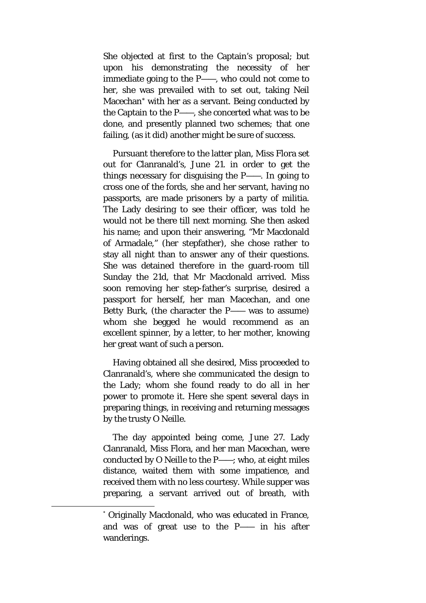She objected at first to the Captain's proposal; but upon his demonstrating the necessity of her immediate going to the P——, who could not come to her, she was prevailed with to set out, taking Neil Macechan[\\*](#page-11-0) with her as a servant. Being conducted by the Captain to the P——, she concerted what was to be done, and presently planned two schemes; that one failing, (as it did) another might be sure of success.

Pursuant therefore to the latter plan, Miss Flora set out for Clanranald's, June 21. in order to get the things necessary for disguising the P——. In going to cross one of the fords, she and her servant, having no passports, are made prisoners by a party of militia. The Lady desiring to see their officer, was told he would not be there till next morning. She then asked his name; and upon their answering, "Mr Macdonald of Armadale," (her stepfather), she chose rather to stay all night than to answer any of their questions. She was detained therefore in the guard-room till Sunday the 21d, that Mr Macdonald arrived. Miss soon removing her step-father's surprise, desired a passport for herself, her man Macechan, and one Betty Burk, (the character the P—— was to assume) whom she begged he would recommend as an excellent spinner, by a letter, to her mother, knowing her great want of such a person.

Having obtained all she desired, Miss proceeded to Clanranald's, where she communicated the design to the Lady; whom she found ready to do all in her power to promote it. Here she spent several days in preparing things, in receiving and returning messages by the trusty O Neille.

The day appointed being come, June 27. Lady Clanranald, Miss Flora, and her man Macechan, were conducted by O Neille to the P——; who, at eight miles distance, waited them with some impatience, and received them with no less courtesy. While supper was preparing, a servant arrived out of breath, with

<span id="page-11-0"></span> <sup>\*</sup> Originally Macdonald, who was educated in France, and was of great use to the P—— in his after wanderings.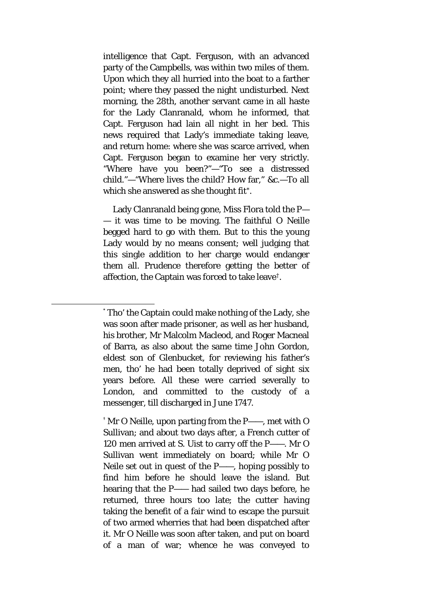intelligence that Capt. Ferguson, with an advanced party of the Campbells, was within two miles of them. Upon which they all hurried into the boat to a farther point; where they passed the night undisturbed. Next morning, the 28th, another servant came in all haste for the Lady Clanranald, whom he informed, that Capt. Ferguson had lain all night in her bed. This news required that Lady's immediate taking leave, and return home: where she was scarce arrived, when Capt. Ferguson began to examine her very strictly. "Where have you been?"—"To see a distressed child."—"Where lives the child? How far," &c.—To all which she answered as she thought fit[\\*.](#page-12-0)

Lady Clanranald being gone, Miss Flora told the P— — it was time to be moving. The faithful O Neille begged hard to go with them. But to this the young Lady would by no means consent; well judging that this single addition to her charge would endanger them all. Prudence therefore getting the better of affection, the Captain was forced to take leave[†](#page-12-1).

<span id="page-12-1"></span>† Mr O Neille, upon parting from the P——, met with O Sullivan; and about two days after, a French cutter of 120 men arrived at S. Uist to carry off the P——. Mr O Sullivan went immediately on board; while Mr O Neile set out in quest of the P——, hoping possibly to find him before he should leave the island. But hearing that the P—— had sailed two days before, he returned, three hours too late; the cutter having taking the benefit of a fair wind to escape the pursuit of two armed wherries that had been dispatched after it. Mr O Neille was soon after taken, and put on board of a man of war; whence he was conveyed to

<span id="page-12-0"></span> <sup>\*</sup> Tho' the Captain could make nothing of the Lady, she was soon after made prisoner, as well as her husband, his brother, Mr Malcolm Macleod, and Roger Macneal of Barra, as also about the same time John Gordon, eldest son of Glenbucket, for reviewing his father's men, tho' he had been totally deprived of sight six years before. All these were carried severally to London, and committed to the custody of a messenger, till discharged in June 1747.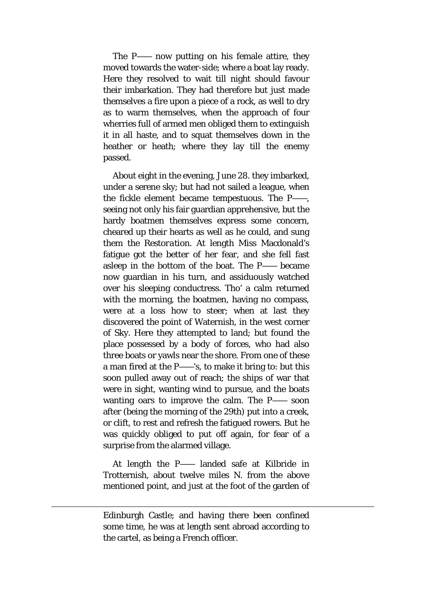The P—— now putting on his female attire, they moved towards the water-side; where a boat lay ready. Here they resolved to wait till night should favour their imbarkation. They had therefore but just made themselves a fire upon a piece of a rock, as well to dry as to warm themselves, when the approach of four wherries full of armed men obliged them to extinguish it in all haste, and to squat themselves down in the heather or heath; where they lay till the enemy passed.

About eight in the evening, June 28. they imbarked, under a serene sky; but had not sailed a league, when the fickle element became tempestuous. The P——, seeing not only his fair guardian apprehensive, but the hardy boatmen themselves express some concern, cheared up their hearts as well as he could, and sung them the *Restoration.* At length Miss Macdonald's fatigue got the better of her fear, and she fell fast asleep in the bottom of the boat. The P—— became now guardian in his turn, and assiduously watched over his sleeping conductress. Tho' a calm returned with the morning, the boatmen, having no compass, were at a loss how to steer; when at last they discovered the point of Waternish, in the west corner of Sky. Here they attempted to land; but found the place possessed by a body of forces, who had also three boats or yawls near the shore. From one of these a man fired at the P——'s, to make it bring to: but this soon pulled away out of reach; the ships of war that were in sight, wanting wind to pursue, and the boats wanting oars to improve the calm. The P—— soon after (being the morning of the 29th) put into a creek, or clift, to rest and refresh the fatigued rowers. But he was quickly obliged to put off again, for fear of a surprise from the alarmed village.

At length the P—— landed safe at Kilbride in Trotternish, about twelve miles N. from the above mentioned point, and just at the foot of the garden of

 $\overline{a}$ 

Edinburgh Castle; and having there been confined some time, he was at length sent abroad according to the cartel, as being a French officer.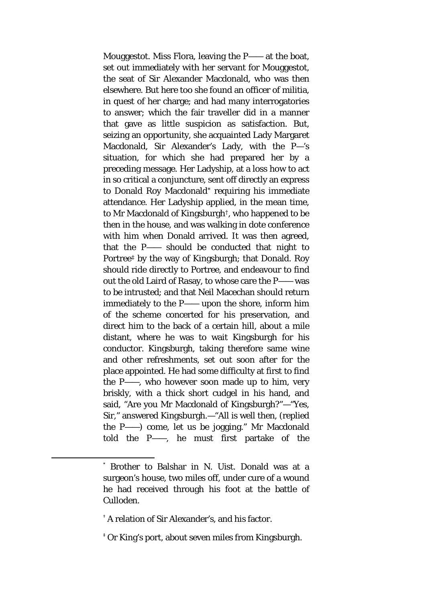Mouggestot. Miss Flora, leaving the P—— at the boat, set out immediately with her servant for Mouggestot, the seat of Sir Alexander Macdonald, who was then elsewhere. But here too she found an officer of militia, in quest of her charge; and had many interrogatories to answer; which the fair traveller did in a manner that gave as little suspicion as satisfaction. But, seizing an opportunity, she acquainted Lady Margaret Macdonald, Sir Alexander's Lady, with the P—'s situation, for which she had prepared her by a preceding message. Her Ladyship, at a loss how to act in so critical a conjuncture, sent off directly an express to Donald Roy Macdonald[\\*](#page-14-0) requiring his immediate attendance. Her Ladyship applied, in the mean time, to Mr Macdonald of Kingsburgh[†,](#page-14-1) who happened to be then in the house, and was walking in dote conference with him when Donald arrived. It was then agreed, that the P—— should be conducted that night to Portree[‡](#page-14-2) by the way of Kingsburgh; that Donald. Roy should ride directly to Portree, and endeavour to find out the old Laird of Rasay, to whose care the P—— was to be intrusted; and that Neil Macechan should return immediately to the P—— upon the shore, inform him of the scheme concerted for his preservation, and direct him to the back of a certain hill, about a mile distant, where he was to wait Kingsburgh for his conductor. Kingsburgh, taking therefore same wine and other refreshments, set out soon after for the place appointed. He had some difficulty at first to find the P——, who however soon made up to him, very briskly, with a thick short cudgel in his hand, and said, "Are you Mr Macdonald of Kingsburgh?"—"Yes, Sir," answered Kingsburgh.—"All is well then, (replied the P——) come, let us be jogging." Mr Macdonald told the P——, he must first partake of the

<span id="page-14-0"></span> <sup>\*</sup> Brother to Balshar in N. Uist. Donald was at a surgeon's house, two miles off, under cure of a wound he had received through his foot at the battle of Culloden.

<span id="page-14-1"></span><sup>†</sup> A relation of Sir Alexander's, and his factor.

<span id="page-14-2"></span><sup>‡</sup> Or King's port, about seven miles from Kingsburgh.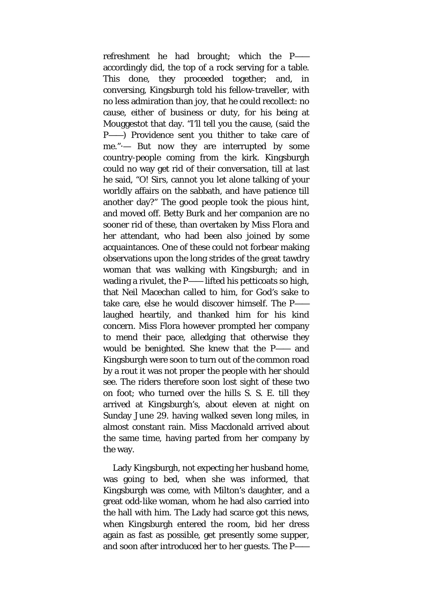refreshment he had brought; which the P— accordingly did, the top of a rock serving for a table. This done, they proceeded together; and, in conversing, Kingsburgh told his fellow-traveller, with no less admiration than joy, that he could recollect: no cause, either of business or duty, for his being at Mouggestot that day. "I'll tell you the cause, (said the P——) Providence sent you thither to take care of me."·— But now they are interrupted by some country-people coming from the kirk. Kingsburgh could no way get rid of their conversation, till at last he said, "O! Sirs, cannot you let alone talking of your worldly affairs on the sabbath, and have patience till another day?" The good people took the pious hint, and moved off. Betty Burk and her companion are no sooner rid of these, than overtaken by Miss Flora and her attendant, who had been also joined by some acquaintances. One of these could not forbear making observations upon the long strides of the great tawdry woman that was walking with Kingsburgh; and in wading a rivulet, the P—— lifted his petticoats so high, that Neil Macechan called to him, for God's sake to take care, else he would discover himself. The P— laughed heartily, and thanked him for his kind concern. Miss Flora however prompted her company to mend their pace, alledging that otherwise they would be benighted. She knew that the P—— and Kingsburgh were soon to turn out of the common road by a rout it was not proper the people with her should see. The riders therefore soon lost sight of these two on foot; who turned over the hills S. S. E. till they arrived at Kingsburgh's, about eleven at night on Sunday June 29. having walked seven long miles, in almost constant rain. Miss Macdonald arrived about the same time, having parted from her company by the way.

Lady Kingsburgh, not expecting her husband home, was going to bed, when she was informed, that Kingsburgh was come, with Milton's daughter, and a great odd-like woman, whom he had also carried into the hall with him. The Lady had scarce got this news, when Kingsburgh entered the room, bid her dress again as fast as possible, get presently some supper, and soon after introduced her to her guests. The P——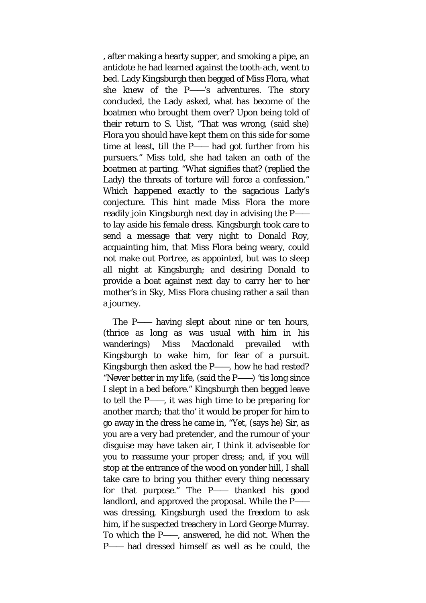, after making a hearty supper, and smoking a pipe, an antidote he had learned against the tooth-ach, went to bed. Lady Kingsburgh then begged of Miss Flora*,* what she knew of the P——'s adventures. The story concluded, the Lady asked, what has become of the boatmen who brought them over? Upon being told of their return to S. Uist, "That was wrong, (said she) Flora you should have kept them on this side for some time at least, till the P—— had got further from his pursuers." Miss told, she had taken an oath of the boatmen at parting. "What signifies that? (replied the Lady) the threats of torture will force a confession." Which happened exactly to the sagacious Lady's conjecture. This hint made Miss Flora the more readily join Kingsburgh next day in advising the P— to lay aside his female dress. Kingsburgh took care to send a message that very night to Donald Roy, acquainting him, that Miss Flora being weary, could not make out Portree, as appointed, but was to sleep all night at Kingsburgh; and desiring Donald to provide a boat against next day to carry her to her mother's in Sky, Miss Flora chusing rather a sail than a journey.

The P—— having slept about nine or ten hours, (thrice as long as was usual with him in his wanderings) Miss Macdonald prevailed with Kingsburgh to wake him, for fear of a pursuit. Kingsburgh then asked the P——, how he had rested? "Never better in my life, (said the P——) 'tis long since I slept in a bed before." Kingsburgh then begged leave to tell the P——, it was high time to be preparing for another march; that tho' it would be proper for him to go away in the dress he came in, "Yet, (says he) Sir, as you are a very bad *pretender*, and the rumour of your disguise may have taken air, I think it adviseable for you to reassume your proper dress; and, if you will stop at the entrance of the wood on yonder hill, I shall take care to bring you thither every thing necessary for that purpose." The P—— thanked his good landlord, and approved the proposal. While the P— was dressing, Kingsburgh used the freedom to ask him, if he suspected treachery in Lord George Murray. To which the P——, answered, he did not. When the P—— had dressed himself as well as he could, the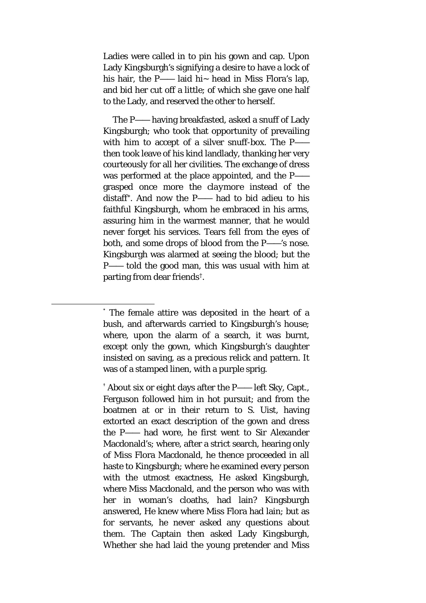Ladies were called in to pin his gown and cap. Upon Lady Kingsburgh's signifying a desire to have a lock of his hair, the P—— laid hi $\sim$  head in Miss Flora's lap, and bid her cut off a little; of which she gave one half to the Lady, and reserved the other to herself.

The P—— having breakfasted, asked a snuff of Lady Kingsburgh; who took that opportunity of prevailing with him to accept of a silver snuff-box. The P— then took leave of his kind landlady, thanking her very courteously for all her civilities. The exchange of dress was performed at the place appointed, and the P— grasped once more the *claymore* instead of the distaff[\\*.](#page-17-0) And now the P—— had to bid adieu to his faithful Kingsburgh, whom he embraced in his arms, assuring him in the warmest manner, that he would never forget his services. Tears fell from the eyes of both, and some drops of blood from the P——'s nose. Kingsburgh was alarmed at seeing the blood; but the P—— told the good man, this was usual with him at parting from dear friends[†.](#page-17-1)

<span id="page-17-0"></span> <sup>\*</sup> The female attire was deposited in the heart of a bush, and afterwards carried to Kingsburgh's house; where, upon the alarm of a search, it was burnt, except only the gown, which Kingsburgh's daughter insisted on saving, as a precious relick and pattern. It was of a stamped linen, with a purple sprig.

<span id="page-17-1"></span> $^{\dagger}$  About six or eight days after the P—— left Sky, Capt., Ferguson followed him in hot pursuit; and from the boatmen at or in their return to S. Uist, having extorted an exact description of the gown and dress the P—— had wore, he first went to Sir Alexander Macdonald's; where, after a strict search, hearing only of Miss Flora Macdonald, he thence proceeded in all haste to Kingsburgh; where he examined every person with the utmost exactness, He asked Kingsburgh, where Miss Macdonald, and the person who was with her in woman's cloaths, had lain? Kingsburgh answered, He knew where Miss Flora had lain; but as for servants, he never asked any questions about them. The Captain then asked Lady Kingsburgh, Whether she had laid the young pretender and Miss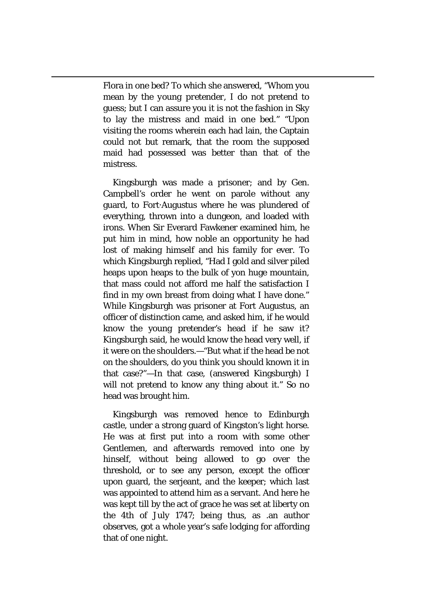Flora in one bed? To which she answered, "Whom you mean by the *young pretender,* I do not pretend to guess; but I can assure you it is not the fashion in Sky to lay the mistress and maid in one bed." "Upon visiting the rooms wherein each had lain, the Captain could not but remark, that the room the supposed maid had possessed was better than that of the mistress.

 $\overline{a}$ 

Kingsburgh was made a prisoner; and by Gen. Campbell's order he went on parole without any guard, to Fort·Augustus where he was plundered of everything, thrown into a dungeon, and loaded with irons. When Sir Everard Fawkener examined him, he put him in mind, how noble an opportunity he had lost of making himself and his family for ever. To which Kingsburgh replied, "Had I gold and silver piled heaps upon heaps to the bulk of yon huge mountain, that mass could not afford me half the satisfaction I find in my own breast from doing what I have done." While Kingsburgh was prisoner at Fort Augustus, an officer of distinction came, and asked him, if he would know the young pretender's head if he saw it? Kingsburgh said, he would know the head very well, if it were on the shoulders.—"But what if the head be not on the shoulders, do you think you should known it in that case?"—In that case, (answered Kingsburgh) I will not pretend to know any thing about it." So no head was brought him.

Kingsburgh was removed hence to Edinburgh castle, under a strong guard of Kingston's light horse. He was at first put into a room with some other Gentlemen, and afterwards removed into one by hinself, without being allowed to go over the threshold, or to see any person, except the officer upon guard, the serjeant, and the keeper; which last was appointed to attend him as a servant. And here he was kept till by the act of grace he was set at liberty on the 4th of July 1747; being thus, as .an author observes, got a whole year's safe lodging for affording that of one night.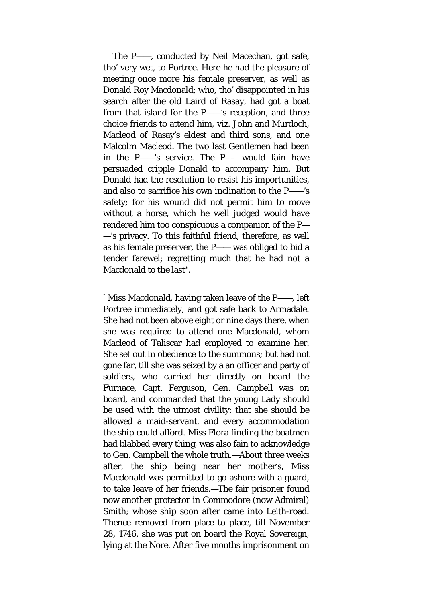The P——, conducted by Neil Macechan, got safe, tho' very wet, to Portree. Here he had the pleasure of meeting once more his female preserver, as well as Donald Roy Macdonald; who, tho' disappointed in his search after the old Laird of Rasay, had got a boat from that island for the P——'s reception, and three choice friends to attend him, *viz.* John and Murdoch, Macleod of Rasay's eldest and third sons, and one Malcolm Macleod. The two last Gentlemen had been in the P——'s service. The P–– would fain have persuaded cripple Donald to accompany him. But Donald had the resolution to resist his importunities, and also to sacrifice his own inclination to the P——'s safety; for his wound did not permit him to move without a horse, which he well judged would have rendered him too conspicuous a companion of the P— —'s privacy. To this faithful friend, therefore, as well as his female preserver, the P—— was obliged to bid a tender farewel; regretting much that he had not a Macdonald to the last[\\*.](#page-19-0)

<span id="page-19-0"></span> <sup>\*</sup> Miss Macdonald, having taken leave of the P——, left Portree immediately, and got safe back to Armadale. She had not been above eight or nine days there, when she was required to attend one Macdonald, whom Macleod of Taliscar had employed to examine her*.*  She set out in obedience to the summons; but had not gone far, till she was seized by a an officer and party of soldiers, who carried her directly on board the Furnace, Capt. Ferguson, Gen. Campbell was on board, and commanded that the young Lady should be used with the utmost civility: that she should be allowed a maid-servant, and every accommodation the ship could afford. Miss Flora finding the boatmen had blabbed every thing, was also fain to acknowledge to Gen. Campbell the whole truth.—About three weeks after, the ship being near her mother's, Miss Macdonald was permitted to go ashore with a guard, to take leave of her friends.—The fair prisoner found now another protector in Commodore (now Admiral) Smith; whose ship soon after came into Leith-road. Thence removed from place to place, till November 28, 1746, she was put on board the Royal Sovereign, lying at the Nore. After five months imprisonment on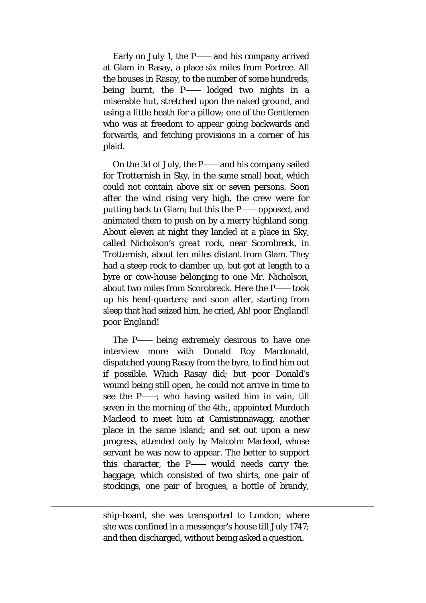Early on July 1, the P—— and his company arrived at Glam in Rasay, a place six miles from Portree. All the houses in Rasay, to the number of some hundreds, being burnt, the P—— lodged two nights in a miserable hut, stretched upon the naked ground, and using a little heath for a pillow; one of the Gentlemen who was at freedom to appear going backwards and forwards, and fetching provisions in a corner of his plaid.

On the 3d of July, the P—— and his company sailed for Trotternish in Sky, in the same small boat, which could not contain above six or seven persons. Soon after the wind rising very high, the crew were for putting back to Glam; but this the P—— opposed, and animated them to push on by a merry highland song. About eleven at night they landed at a place in Sky, called *Nicholson's great rock,* near Scorobreck, in Trotternish, about ten miles distant from Glam. They had a steep rock to clamber up, but got at length to a byre or cow-house belonging to one Mr. Nicholson, about two miles from Scorobreck. Here the P—— took up his head-quarters; and soon after, starting from sleep that had seized him, he cried, *Ah! poor England! poor England!*

The P—— being extremely desirous to have one interview more with Donald Roy Macdonald, dispatched young Rasay from the byre, to find him out if possible. Which Rasay did; but poor Donald's wound being still open, he could not arrive in time to see the P——; who having waited him in vain, till seven in the morning of the 4th;, appointed Murdoch Macleod to meet him at Camistinnawagg, another place in the same island; and set out upon a new progress, attended only by Malcolm Macleod, whose servant he was now to appear. The better to support this character, the P—— would needs carry the: baggage, which consisted of two shirts, one pair of stockings, one pair of brogues, a bottle of brandy,

ship-board, she was transported to London; where she was confined in a messenger's house till July 1747; and then discharged, without being asked a question.

 $\overline{a}$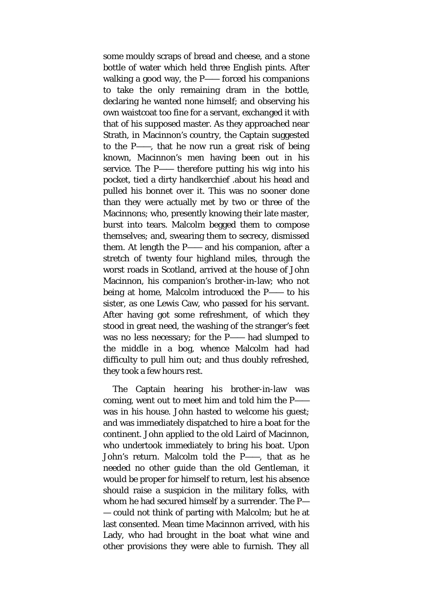some mouldy scraps of bread and cheese, and a stone bottle of water which held three English pints. After walking a good way, the P—— forced his companions to take the only remaining dram in the bottle, declaring he wanted none himself; and observing his own waistcoat too fine for a servant, exchanged it with that of his supposed master. As they approached near Strath, in Macinnon's country, the Captain suggested to the P——, that he now run a great risk of being known, Macinnon's men having been out in his service*.* The P—— therefore putting his wig into his pocket, tied a dirty handkerchief .about his head and pulled his bonnet over it. This was no sooner done than they were actually met by two or three of the Macinnons; who, presently knowing their late master, burst into tears. Malcolm begged them to compose themselves; and, swearing them to secrecy*,* dismissed them. At length the P—— and his companion, after a stretch of twenty four highland miles, through the worst roads in Scotland, arrived at the house of John Macinnon, his companion's brother-in-law; who not being at home, Malcolm introduced the P—— to his sister, as one Lewis Caw, who passed for his servant. After having got some refreshment, of which they stood in great need, the washing of the stranger's feet was no less necessary; for the P—— had slumped to the middle in a bog, whence Malcolm had had difficulty to pull him out; and thus doubly refreshed, they took a few hours rest.

The Captain hearing his brother-in-law was coming, went out to meet him and told him the P— was in his house. John hasted to welcome his guest; and was immediately dispatched to hire a boat for the continent. John applied to the old Laird of Macinnon, who undertook immediately to bring his boat. Upon John's return. Malcolm told the P——, that as he needed no other guide than the old Gentleman, it would be proper for himself to return, lest his absence should raise a suspicion in the military folks, with whom he had secured himself by a surrender. The P— — could not think of parting with Malcolm; but he at last consented. Mean time Macinnon arrived, with his Lady, who had brought in the boat what wine and other provisions they were able to furnish. They all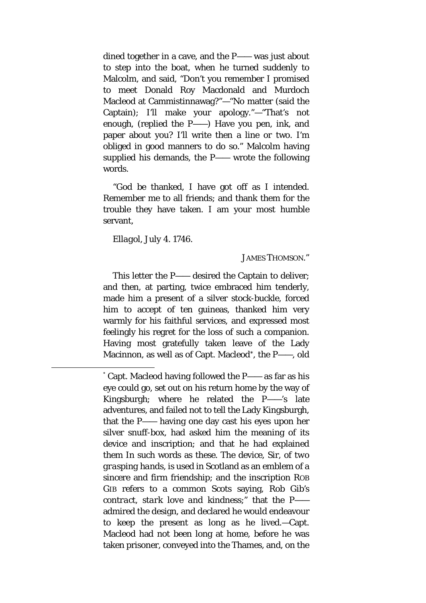dined together in a cave, and the P—— was just about to step into the boat, when he turned suddenly to Malcolm, and said, "Don't you remember I promised to meet Donald Roy Macdonald and Murdoch Macleod at Cammistinnawag?"—"No matter (said the Captain); I'll make your apology."—"That's not enough, (replied the P——) Have you pen, ink, and paper about you? I'll write then a line or two. I'm obliged in good manners to do so." Malcolm having supplied his demands, the P—— wrote the following words.

"God be thanked, I have got off as I intended. Remember me to all friends; and thank them for the trouble they have taken. I am your most humble servant,

*Ellagol, July 4.* 1746.

JAMES THOMSON."

This letter the P—— desired the Captain to deliver; and then, at parting, twice embraced him tenderly, made him a present of a silver stock-buckle, forced him to accept of ten guineas, thanked him very warmly for his faithful services, and expressed most feelingly his regret for the loss of such a companion. Having most gratefully taken leave of the Lady Macinnon, as well as of Capt. Macleod[\\*,](#page-22-0) the P——, old

<span id="page-22-0"></span> <sup>\*</sup> Capt. Macleod having followed the P—— as far as his eye could go, set out on his return home by the way of Kingsburgh; where he related the P——'s late adventures, and failed not to tell the Lady Kingsburgh, that the P—— having one day cast his eyes upon her silver snuff-box, had asked him the meaning of its device and inscription; and that he had explained them In such words as these. The device, Sir, of *two grasping hands,* is used in Scotland as an emblem of a sincere and firm friendship; and the inscription ROB GIB refers to a common Scots saying, *Rob Gib's contract, stark love and kindness*;" that the P— admired the design, and declared he would endeavour to keep the present as long as he lived.—Capt. Macleod had not been long at home, before he was taken prisoner, conveyed into the Thames, and, on the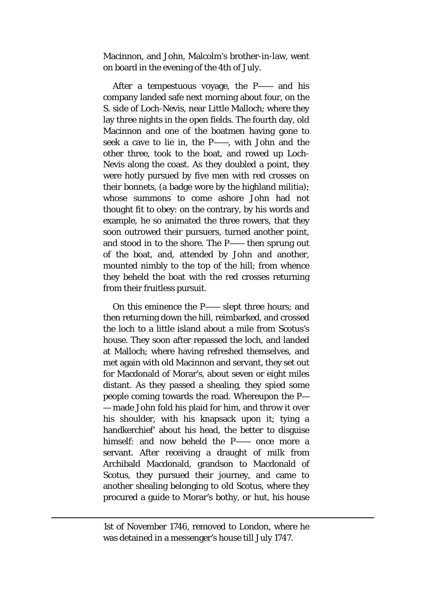Macinnon, and John, Malcolm's brother-in-law, went on board in the evening of the 4th of July.

After a tempestuous voyage, the P—— and his company landed safe next morning about four, on the S. side of Loch-Nevis, near Little Malloch; where they lay three nights in the open fields. The fourth day, old Macinnon and one of the boatmen having gone to seek a cave to lie in, the P——, with John and the other three, took to the boat, and rowed up Loch-Nevis along the coast. As they doubled a point, they were hotly pursued by five men with red crosses on their bonnets, (a badge wore by the highland militia); whose summons to come ashore John had not thought fit to obey: on the contrary, by his words and example, he so animated the three rowers, that they soon outrowed their pursuers, turned another point, and stood in to the shore. The P—— then sprung out of the boat, and, attended by John and another, mounted nimbly to the top of the hill; from whence they beheld the boat with the red crosses returning from their fruitless pursuit.

On this eminence the P—— slept three hours; and then returning down the hill, reimbarked, and crossed the loch to a little island about a mile from Scotus's house. They soon after repassed the loch, and landed at Malloch; where having refreshed themselves, and met again with old Macinnon and servant, they set out for Macdonald of Morar's, about seven or eight miles distant. As they passed a shealing, they spied some people coming towards the road. Whereupon the P— — made John fold his plaid for him, and throw it over his shoulder, with his knapsack upon it; tying a handkerchief' about his head, the better to disguise himself: and now beheld the P—— once more a servant. After receiving a draught of milk from Archibald Macdonald, grandson to Macdonald of Scotus, they pursued their journey, and came to another shealing belonging to old Scotus, where they procured a guide to Morar's bothy, or hut, his house

1st of November 1746, removed to London, where he was detained in a messenger's house till July 1747.

 $\overline{a}$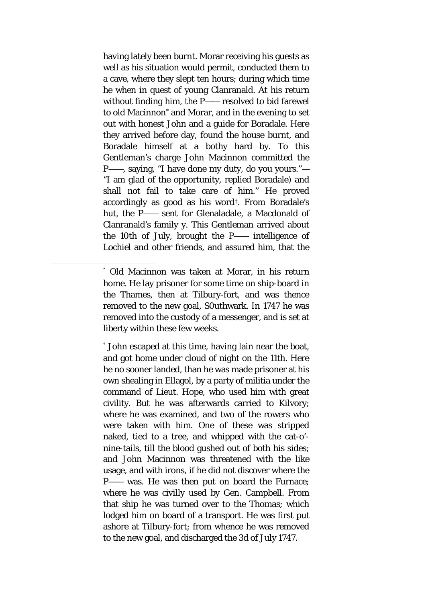having lately been burnt. Morar receiving his guests as well as his situation would permit, conducted them to a cave, where they slept ten hours; during which time he when in quest of young Clanranald. At his return without finding him, the P—— resolved to bid farewel to old Macinnon[\\*](#page-24-0) and Morar, and in the evening to set out with honest John and a guide for Boradale. Here they arrived before day, found the house burnt, and Boradale himself at a bothy hard by. To this Gentleman's charge John Macinnon committed the P——, saying, "I have done my duty, do you yours."— "I am glad of the opportunity, replied Boradale) and shall not fail to take care of him." He proved accordingly as good as his word[†.](#page-24-1) From Boradale's hut, the P—— sent for Glenaladale, a Macdonald of Clanranald's family y. This Gentleman arrived about the 10th of July, brought the P—— intelligence of Lochiel and other friends, and assured him, that the

<span id="page-24-1"></span>† John escaped at this time, having lain near the boat, and got home under cloud of night on the 11th. Here he no sooner landed, than he was made prisoner at his own shealing in Ellagol, by a party of militia under the command of Lieut. Hope, who used him with great civility. But he was afterwards carried to Kilvory; where he was examined, and two of the rowers who were taken with him. One of these was stripped naked, tied to a tree, and whipped with the cat-o' nine-tails, till the blood gushed out of both his sides; and John Macinnon was threatened with the like usage, and with irons, if he did not discover where the P—— was. He was then put on board the Furnace; where he was civilly used by Gen. Campbell. From that ship he was turned over to the Thomas; which lodged him on board of a transport. He was first put ashore at Tilbury-fort; from whence he was removed to the new goal, and discharged the 3d of July 1747.

<span id="page-24-0"></span> <sup>\*</sup> Old Macinnon was taken at Morar, in his return home. He lay prisoner for some time on ship-board in the Thames, then at Tilbury-fort, and was thence removed to the new goal, S0uthwark. In 1747 he was removed into the custody of a messenger, and is set at liberty within these few weeks.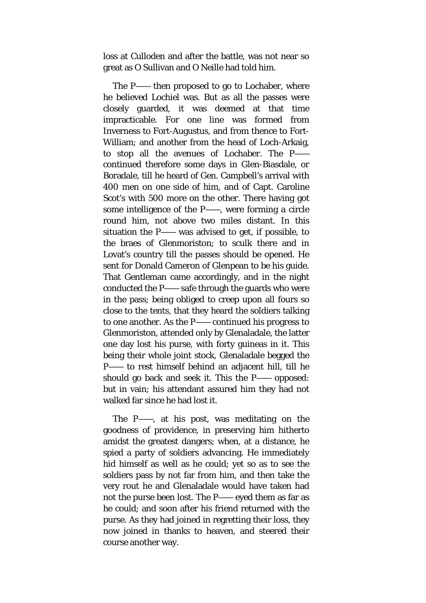loss at Culloden and after the battle, was not near so great as O Sullivan and O Neille had told him.

The P—— then proposed to go to Lochaber, where he believed Lochiel was. But as all the passes were closely guarded, it was deemed at that time impracticable. For one line was formed from Inverness to Fort-Augustus, and from thence to Fort-William; and another from the head of Loch-Arkaig, to stop all the avenues of Lochaber. The P— continued therefore some days in Glen-Biasdale, or Boradale, till he heard of Gen. Campbell's arrival with 400 men on one side of him, and of Capt. Caroline Scot's with 500 more on the other. There having got some intelligence of the P——, were forming a circle round him, not above two miles distant. In this situation the P—— was advised to get, if possible, to the braes of Glenmoriston; to sculk there and in Lovat's country till the passes should be opened. He sent for Donald Cameron of Glenpean to be his guide. That Gentleman came accordingly, and in the night conducted the P—— safe through the guards who were in the pass; being obliged to creep upon all fours so close to the tents, that they heard the soldiers talking to one another. As the P—— continued his progress to Glenmoriston, attended only by Glenaladale, the latter one day lost his purse, with forty guineas in it. This being their whole joint stock, Glenaladale begged the P—— to rest himself behind an adjacent hill, till he should go back and seek it. This the P—— opposed: but in vain; his attendant assured him they had not walked far since he had lost it.

The P——, at his post, was meditating on the goodness of providence, in preserving him hitherto amidst the greatest dangers; when, at a distance, he spied a party of soldiers advancing. He immediately hid himself as well as he could; yet so as to see the soldiers pass by not far from him, and then take the very rout he and Glenaladale would have taken had not the purse been lost. The P—— eyed them as far as he could; and soon after his friend returned with the purse. As they had joined in regretting their loss, they now joined in thanks to heaven, and steered their course another way.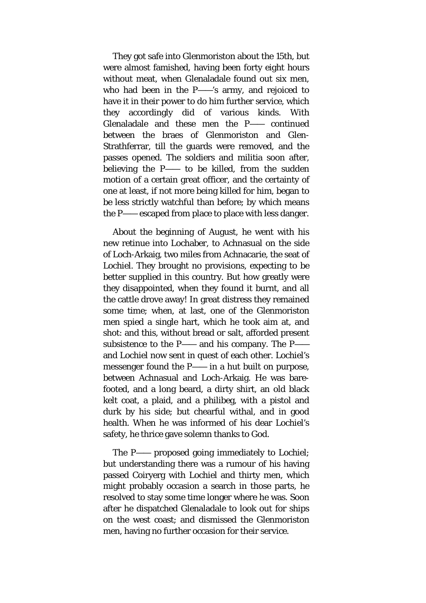They got safe into Glenmoriston about the 15th, but were almost famished, having been forty eight hours without meat, when Glenaladale found out six men, who had been in the P——'s army, and rejoiced to have it in their power to do him further service, which they accordingly did of various kinds. With Glenaladale and these men the P—— continued between the braes of Glenmoriston and Glen-Strathferrar, till the guards were removed, and the passes opened. The soldiers and militia soon after, believing the P—— to be killed, from the sudden motion of a certain great officer, and the certainty of one at least, if not more being killed for him, began to be less strictly watchful than before; by which means the P—— escaped from place to place with less danger.

About the beginning of August, he went with his new retinue into Lochaber, to Achnasual on the side of Loch-Arkaig, two miles from Achnacarie, the seat of Lochiel. They brought no provisions, expecting to be better supplied in this country. But how greatly were they disappointed, when they found it burnt, and all the cattle drove away! In great distress they remained some time; when, at last, one of the Glenmoriston men spied a single hart, which he took aim at, and shot: and this, without bread or salt, afforded present subsistence to the P—— and his company. The P— and Lochiel now sent in quest of each other. Lochiel's messenger found the P—— in a hut built on purpose, between Achnasual and Loch-Arkaig. He was barefooted, and a long beard, a dirty shirt, an old black kelt coat, a plaid, and a philibeg, with a pistol and durk by his side; but chearful withal, and in good health. When he was informed of his dear Lochiel's safety, he thrice gave solemn thanks to God.

The P—— proposed going immediately to Lochiel; but understanding there was a rumour of his having passed Coiryerg with Lochiel and thirty men, which might probably occasion a search in those parts, he resolved to stay some time longer where he was. Soon after he dispatched Glenaladale to look out for ships on the west coast; and dismissed the Glenmoriston men, having no further occasion for their service.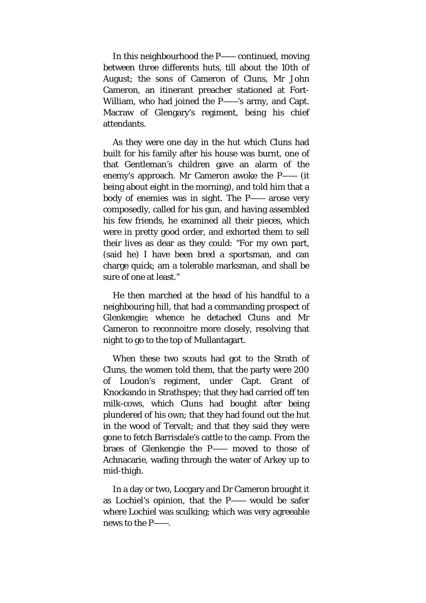In this neighbourhood the P—— continued, moving between three differents huts, till about the 10th of August; the sons of Cameron of Cluns, Mr John Cameron, an itinerant preacher stationed at Fort-William, who had joined the P——'s army, and Capt. Macraw of Glengary's regiment, being his chief attendants.

As they were one day in the hut which Cluns had built for his family after his house was burnt, one of that Gentleman's children gave an alarm of the enemy's approach. Mr Cameron awoke the P—— (it being about eight in the morning), and told him that a body of enemies was in sight. The P—— arose very composedly, called for his gun, and having assembled his few friends, he examined all their pieces, which were in pretty good order, and exhorted them to sell their lives as dear as they could: "For my own part, (said he) I have been bred a sportsman, and can charge quick; am a tolerable marksman, and shall be sure of one at least."

He then marched at the head of his handful to a neighbouring hill, that had a commanding prospect of Glenkengie; whence he detached Cluns and Mr Cameron to reconnoitre more closely*,* resolving that night to go to the top of Mullantagart.

When these two scouts had got to the Strath of Cluns, the women told them, that the party were 200 of Loudon's regiment, under Capt. Grant of Knockando in Strathspey; that they had carried off ten milk-cows, which Cluns had bought after being plundered of his own; that they had found out the hut in the wood of Tervalt; and that they said they were gone to fetch Barrisdale's cattle to the camp. From the braes of Glenkengie the P—— moved to those of Achnacarie, wading through the water of Arkey up to mid-thigh.

In a day or two, Locgary and Dr Cameron brought it as Lochiel's opinion, that the P—— would be safer where Lochiel was sculking; which was very agreeable news to the P——.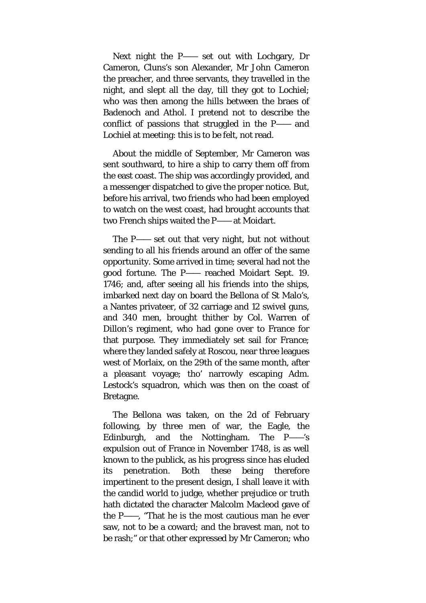Next night the P—— set out with Lochgary, Dr Cameron, Cluns's son Alexander, Mr John Cameron the preacher, and three servants, they travelled in the night, and slept all the day, till they got to Lochiel; who was then among the hills between the braes of Badenoch and Athol. I pretend not to describe the conflict of passions that struggled in the P—— and Lochiel at meeting: this is to be felt, not read.

About the middle of September, Mr Cameron was sent southward, to hire a ship to carry them off from the east coast. The ship was accordingly provided, and a messenger dispatched to give the proper notice. But, before his arrival, two friends who had been employed to watch on the west coast, had brought accounts that two French ships waited the P—— at Moidart.

The P—— set out that very night, but not without sending to all his friends around an offer of the same opportunity. Some arrived in time; several had not the good fortune. The P—— reached Moidart Sept. 19. 1746; and, after seeing all his friends into the ships, imbarked next day on board the Bellona of St Malo's, a Nantes privateer, of 32 carriage and 12 swivel guns, and 340 men, brought thither by Col. Warren of Dillon's regiment, who had gone over to France for that purpose. They immediately set sail for France; where they landed safely at Roscou, near three leagues west of Morlaix, on the 29th of the same month, after a pleasant voyage; tho' narrowly escaping Adm. Lestock's squadron, which was then on the coast of Bretagne.

The Bellona was taken, on the 2d of February following, by three men of war, the Eagle, the Edinburgh, and the Nottingham. The P——'s expulsion out of France in November 1748, is as well known to the publick, as his progress since has eluded its penetration. Both these being therefore impertinent to the present design, I shall leave it with the candid world to judge, whether prejudice or truth hath dictated the character Malcolm Macleod gave of the P——, "That he is the most cautious man he ever saw, not to be a coward; and the bravest man, not to be rash;" or that other expressed by Mr Cameron; who